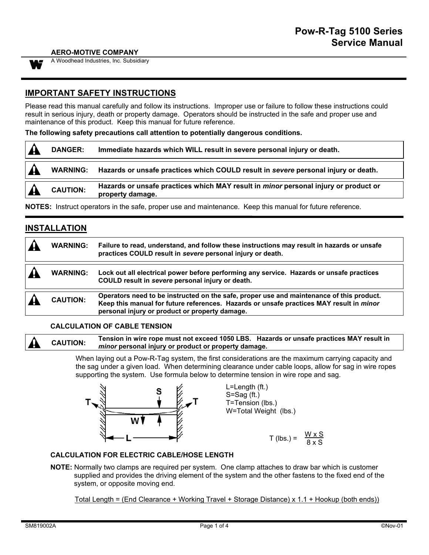#### **AERO-MOTIVE COMPANY**



A Woodhead Industries, Inc. Subsidiary

## **IMPORTANT SAFETY INSTRUCTIONS**

Please read this manual carefully and follow its instructions. Improper use or failure to follow these instructions could result in serious injury, death or property damage. Operators should be instructed in the safe and proper use and maintenance of this product. Keep this manual for future reference.

**The following safety precautions call attention to potentially dangerous conditions.**

| <b>DANGER:</b>  | Immediate hazards which WILL result in severe personal injury or death.                                        |
|-----------------|----------------------------------------------------------------------------------------------------------------|
|                 | WARNING: Hazards or unsafe practices which COULD result in severe personal injury or death.                    |
| <b>CAUTION:</b> | Hazards or unsafe practices which MAY result in <i>minor</i> personal injury or product or<br>property damage. |
|                 | NOTER: Instruct operators in the eate preparues and maintenance. Keep this manual for future reference         |

**NOTES:** Instruct operators in the safe, proper use and maintenance. Keep this manual for future reference.

# **INSTALLATION**

|                         | <b>WARNING:</b> | Failure to read, understand, and follow these instructions may result in hazards or unsafe<br>practices COULD result in severe personal injury or death.                                                                              |
|-------------------------|-----------------|---------------------------------------------------------------------------------------------------------------------------------------------------------------------------------------------------------------------------------------|
| $\overline{\mathbf{A}}$ | <b>WARNING:</b> | Lock out all electrical power before performing any service. Hazards or unsafe practices<br>COULD result in severe personal injury or death.                                                                                          |
|                         | <b>CAUTION:</b> | Operators need to be instructed on the safe, proper use and maintenance of this product.<br>Keep this manual for future references. Hazards or unsafe practices MAY result in minor<br>personal injury or product or property damage. |

#### **CALCULATION OF CABLE TENSION**

**CAUTION: Tension in wire rope must not exceed 1050 LBS. Hazards or unsafe practices MAY result in** *minor* **personal injury or product or property damage.**

> When laying out a Pow-R-Tag system, the first considerations are the maximum carrying capacity and the sag under a given load. When determining clearance under cable loops, allow for sag in wire ropes supporting the system. Use formula below to determine tension in wire rope and sag.



## **CALCULATION FOR ELECTRIC CABLE/HOSE LENGTH**

**NOTE:** Normally two clamps are required per system. One clamp attaches to draw bar which is customer supplied and provides the driving element of the system and the other fastens to the fixed end of the system, or opposite moving end.

Total Length = (End Clearance + Working Travel + Storage Distance) x 1.1 + Hookup (both ends))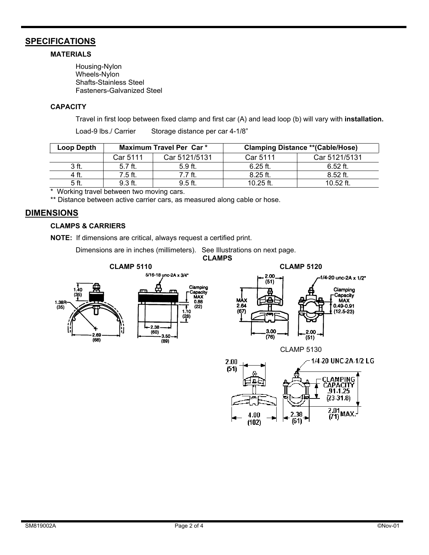## **SPECIFICATIONS**

### **MATERIALS**

Housing-Nylon Wheels-Nylon Shafts-Stainless Steel Fasteners-Galvanized Steel

#### **CAPACITY**

Travel in first loop between fixed clamp and first car (A) and lead loop (b) will vary with **installation.**

| Loop Depth |           | Maximum Travel Per Car* |             | <b>Clamping Distance ** (Cable/Hose)</b> |
|------------|-----------|-------------------------|-------------|------------------------------------------|
|            | Car 5111  | Car 5121/5131           | Car 5111    | Car 5121/5131                            |
| 3 ft.      | $5.7$ ft. | $5.9$ ft.               | $6.25$ ft.  | $6.52$ ft.                               |
| 4 ft.      | 7.5 ft.   | 7.7 ft.                 | $8.25$ ft.  | $8.52$ ft.                               |
| 5 ft.      | $9.3$ ft. | $9.5$ ft.               | 10.25 $ft.$ | $10.52$ ft.                              |

\* Working travel between two moving cars.

\*\* Distance between active carrier cars, as measured along cable or hose.

Load-9 lbs./ Carrier Storage distance per car 4-1/8"

## **DIMENSIONS**

#### **CLAMPS & CARRIERS**

**NOTE:** If dimensions are critical, always request a certified print.

Dimensions are in inches (millimeters). See Illustrations on next page.

**CLAMPS**



 $\frac{2.01}{(71)$  MAX

2.38

 $(61)$ 

4.00

 $(102)$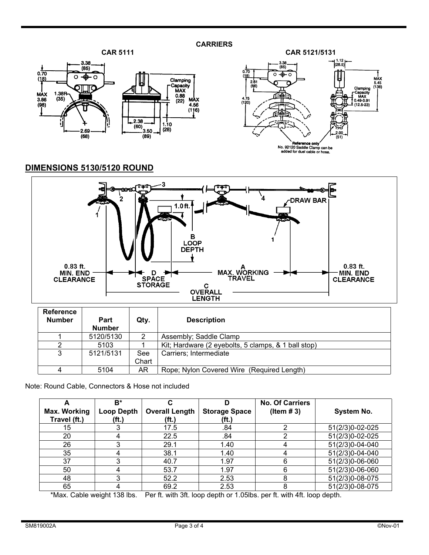



# **DIMENSIONS 5130/5120 ROUND**



| <b>Reference</b><br><b>Number</b> | <b>Part</b><br>Number | Qty.         | <b>Description</b>                                  |
|-----------------------------------|-----------------------|--------------|-----------------------------------------------------|
|                                   | 5120/5130             | 2            | Assembly; Saddle Clamp                              |
|                                   | 5103                  |              | Kit; Hardware (2 eyebolts, 5 clamps, & 1 ball stop) |
| 3                                 | 5121/5131             | See<br>Chart | Carriers; Intermediate                              |
|                                   | 5104                  | AR           | Rope; Nylon Covered Wire (Required Length)          |

Note: Round Cable, Connectors & Hose not included

|              | B*                |                       |                      | <b>No. Of Carriers</b> |                   |
|--------------|-------------------|-----------------------|----------------------|------------------------|-------------------|
| Max. Working | <b>Loop Depth</b> | <b>Overall Length</b> | <b>Storage Space</b> | (Item $# 3$ )          | <b>System No.</b> |
| Travel (ft.) | (ft.)             | (ft.)                 | (ft.)                |                        |                   |
| 15           |                   | 17.5                  | .84                  |                        | 51(2/3)0-02-025   |
| 20           |                   | 22.5                  | .84                  |                        | 51(2/3)0-02-025   |
| 26           |                   | 29.1                  | 1.40                 |                        | 51(2/3)0-04-040   |
| 35           | 4                 | 38.1                  | 1.40                 | 4                      | 51(2/3)0-04-040   |
| 37           |                   | 40.7                  | 1.97                 | 6                      | 51(2/3)0-06-060   |
| 50           |                   | 53.7                  | 1.97                 | 6                      | 51(2/3)0-06-060   |
| 48           |                   | 52.2                  | 2.53                 | 8                      | 51(2/3)0-08-075   |
| 65           |                   | 69.2                  | 2.53                 | 8                      | 51(2/3)0-08-075   |

\*Max. Cable weight 138 lbs. Per ft. with 3ft. loop depth or 1.05lbs. per ft. with 4ft. loop depth.